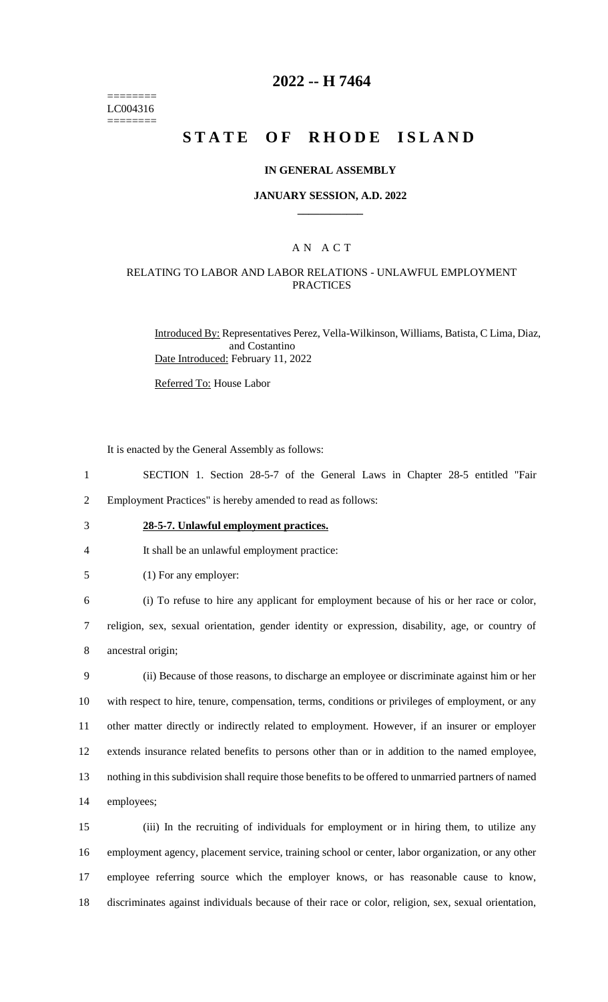======== LC004316 ========

### **2022 -- H 7464**

# **STATE OF RHODE ISLAND**

#### **IN GENERAL ASSEMBLY**

#### **JANUARY SESSION, A.D. 2022 \_\_\_\_\_\_\_\_\_\_\_\_**

### A N A C T

### RELATING TO LABOR AND LABOR RELATIONS - UNLAWFUL EMPLOYMENT **PRACTICES**

Introduced By: Representatives Perez, Vella-Wilkinson, Williams, Batista, C Lima, Diaz, and Costantino Date Introduced: February 11, 2022

Referred To: House Labor

It is enacted by the General Assembly as follows:

- 1 SECTION 1. Section 28-5-7 of the General Laws in Chapter 28-5 entitled "Fair
- 2 Employment Practices" is hereby amended to read as follows:
- 

3 **28-5-7. Unlawful employment practices.**

- 4 It shall be an unlawful employment practice:
- 5 (1) For any employer:

6 (i) To refuse to hire any applicant for employment because of his or her race or color,

7 religion, sex, sexual orientation, gender identity or expression, disability, age, or country of 8 ancestral origin;

 (ii) Because of those reasons, to discharge an employee or discriminate against him or her with respect to hire, tenure, compensation, terms, conditions or privileges of employment, or any other matter directly or indirectly related to employment. However, if an insurer or employer extends insurance related benefits to persons other than or in addition to the named employee, nothing in this subdivision shall require those benefits to be offered to unmarried partners of named employees;

 (iii) In the recruiting of individuals for employment or in hiring them, to utilize any employment agency, placement service, training school or center, labor organization, or any other employee referring source which the employer knows, or has reasonable cause to know, discriminates against individuals because of their race or color, religion, sex, sexual orientation,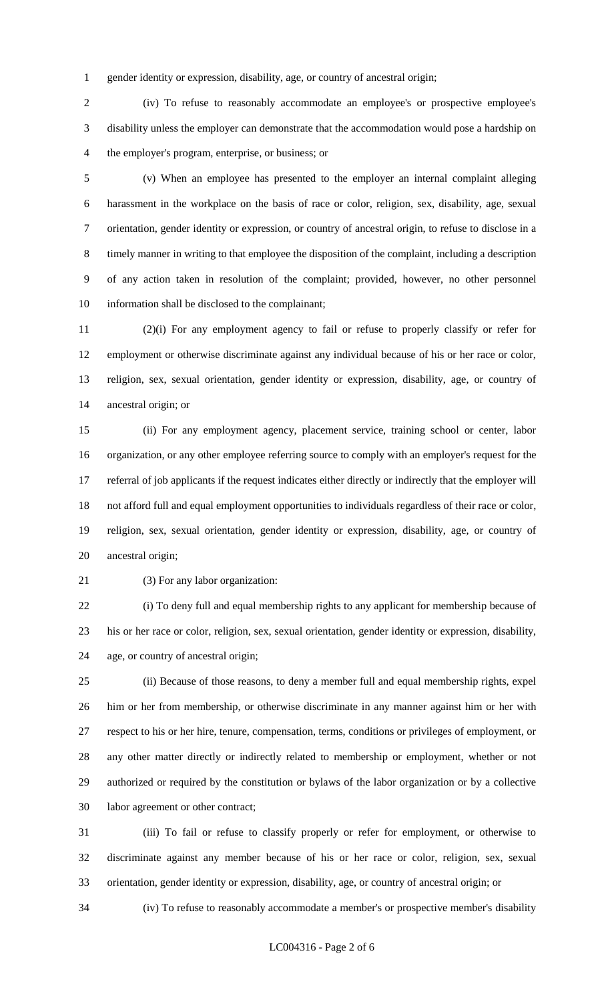gender identity or expression, disability, age, or country of ancestral origin;

 (iv) To refuse to reasonably accommodate an employee's or prospective employee's disability unless the employer can demonstrate that the accommodation would pose a hardship on the employer's program, enterprise, or business; or

 (v) When an employee has presented to the employer an internal complaint alleging harassment in the workplace on the basis of race or color, religion, sex, disability, age, sexual orientation, gender identity or expression, or country of ancestral origin, to refuse to disclose in a timely manner in writing to that employee the disposition of the complaint, including a description of any action taken in resolution of the complaint; provided, however, no other personnel information shall be disclosed to the complainant;

 (2)(i) For any employment agency to fail or refuse to properly classify or refer for employment or otherwise discriminate against any individual because of his or her race or color, religion, sex, sexual orientation, gender identity or expression, disability, age, or country of ancestral origin; or

 (ii) For any employment agency, placement service, training school or center, labor organization, or any other employee referring source to comply with an employer's request for the referral of job applicants if the request indicates either directly or indirectly that the employer will not afford full and equal employment opportunities to individuals regardless of their race or color, religion, sex, sexual orientation, gender identity or expression, disability, age, or country of ancestral origin;

(3) For any labor organization:

 (i) To deny full and equal membership rights to any applicant for membership because of his or her race or color, religion, sex, sexual orientation, gender identity or expression, disability, age, or country of ancestral origin;

 (ii) Because of those reasons, to deny a member full and equal membership rights, expel him or her from membership, or otherwise discriminate in any manner against him or her with respect to his or her hire, tenure, compensation, terms, conditions or privileges of employment, or any other matter directly or indirectly related to membership or employment, whether or not authorized or required by the constitution or bylaws of the labor organization or by a collective labor agreement or other contract;

 (iii) To fail or refuse to classify properly or refer for employment, or otherwise to discriminate against any member because of his or her race or color, religion, sex, sexual orientation, gender identity or expression, disability, age, or country of ancestral origin; or

(iv) To refuse to reasonably accommodate a member's or prospective member's disability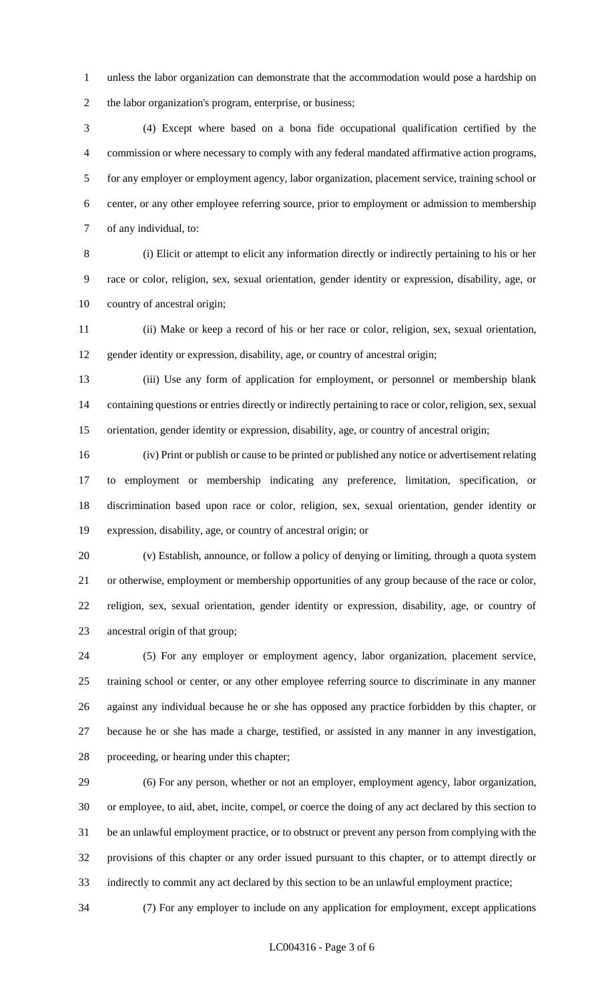unless the labor organization can demonstrate that the accommodation would pose a hardship on the labor organization's program, enterprise, or business;

 (4) Except where based on a bona fide occupational qualification certified by the commission or where necessary to comply with any federal mandated affirmative action programs, for any employer or employment agency, labor organization, placement service, training school or center, or any other employee referring source, prior to employment or admission to membership of any individual, to:

 (i) Elicit or attempt to elicit any information directly or indirectly pertaining to his or her race or color, religion, sex, sexual orientation, gender identity or expression, disability, age, or country of ancestral origin;

 (ii) Make or keep a record of his or her race or color, religion, sex, sexual orientation, gender identity or expression, disability, age, or country of ancestral origin;

 (iii) Use any form of application for employment, or personnel or membership blank containing questions or entries directly or indirectly pertaining to race or color, religion, sex, sexual orientation, gender identity or expression, disability, age, or country of ancestral origin;

 (iv) Print or publish or cause to be printed or published any notice or advertisement relating to employment or membership indicating any preference, limitation, specification, or discrimination based upon race or color, religion, sex, sexual orientation, gender identity or expression, disability, age, or country of ancestral origin; or

 (v) Establish, announce, or follow a policy of denying or limiting, through a quota system or otherwise, employment or membership opportunities of any group because of the race or color, religion, sex, sexual orientation, gender identity or expression, disability, age, or country of ancestral origin of that group;

 (5) For any employer or employment agency, labor organization, placement service, training school or center, or any other employee referring source to discriminate in any manner against any individual because he or she has opposed any practice forbidden by this chapter, or because he or she has made a charge, testified, or assisted in any manner in any investigation, proceeding, or hearing under this chapter;

 (6) For any person, whether or not an employer, employment agency, labor organization, or employee, to aid, abet, incite, compel, or coerce the doing of any act declared by this section to be an unlawful employment practice, or to obstruct or prevent any person from complying with the provisions of this chapter or any order issued pursuant to this chapter, or to attempt directly or indirectly to commit any act declared by this section to be an unlawful employment practice;

(7) For any employer to include on any application for employment, except applications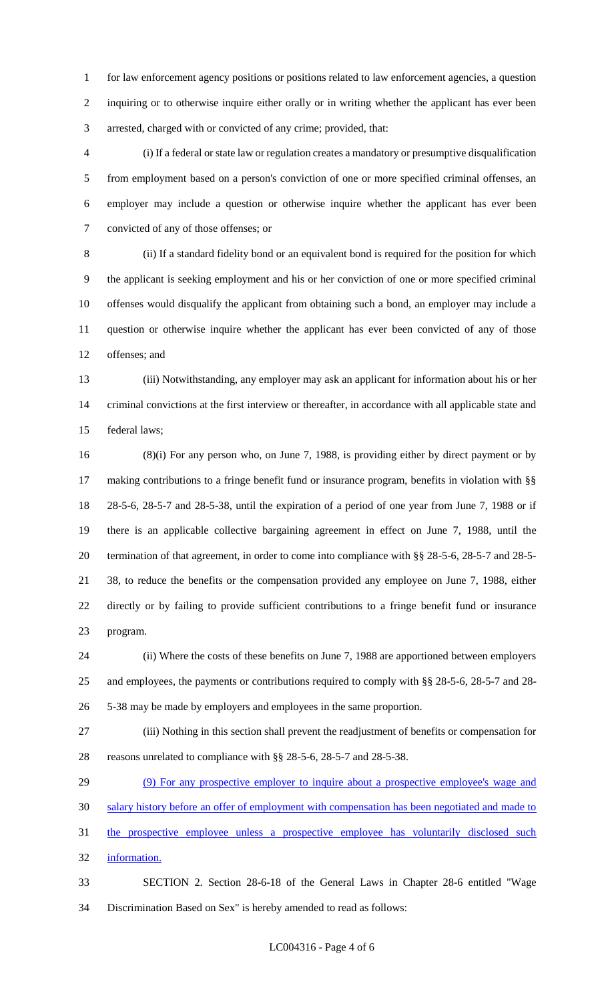for law enforcement agency positions or positions related to law enforcement agencies, a question inquiring or to otherwise inquire either orally or in writing whether the applicant has ever been arrested, charged with or convicted of any crime; provided, that:

 (i) If a federal or state law or regulation creates a mandatory or presumptive disqualification from employment based on a person's conviction of one or more specified criminal offenses, an employer may include a question or otherwise inquire whether the applicant has ever been convicted of any of those offenses; or

 (ii) If a standard fidelity bond or an equivalent bond is required for the position for which the applicant is seeking employment and his or her conviction of one or more specified criminal offenses would disqualify the applicant from obtaining such a bond, an employer may include a question or otherwise inquire whether the applicant has ever been convicted of any of those offenses; and

 (iii) Notwithstanding, any employer may ask an applicant for information about his or her criminal convictions at the first interview or thereafter, in accordance with all applicable state and federal laws;

 (8)(i) For any person who, on June 7, 1988, is providing either by direct payment or by making contributions to a fringe benefit fund or insurance program, benefits in violation with §§ 28-5-6, 28-5-7 and 28-5-38, until the expiration of a period of one year from June 7, 1988 or if there is an applicable collective bargaining agreement in effect on June 7, 1988, until the termination of that agreement, in order to come into compliance with §§ 28-5-6, 28-5-7 and 28-5- 38, to reduce the benefits or the compensation provided any employee on June 7, 1988, either directly or by failing to provide sufficient contributions to a fringe benefit fund or insurance program.

 (ii) Where the costs of these benefits on June 7, 1988 are apportioned between employers and employees, the payments or contributions required to comply with §§ 28-5-6, 28-5-7 and 28- 5-38 may be made by employers and employees in the same proportion.

 (iii) Nothing in this section shall prevent the readjustment of benefits or compensation for reasons unrelated to compliance with §§ 28-5-6, 28-5-7 and 28-5-38.

29 (9) For any prospective employer to inquire about a prospective employee's wage and

salary history before an offer of employment with compensation has been negotiated and made to

31 the prospective employee unless a prospective employee has voluntarily disclosed such

information.

 SECTION 2. Section 28-6-18 of the General Laws in Chapter 28-6 entitled "Wage Discrimination Based on Sex" is hereby amended to read as follows: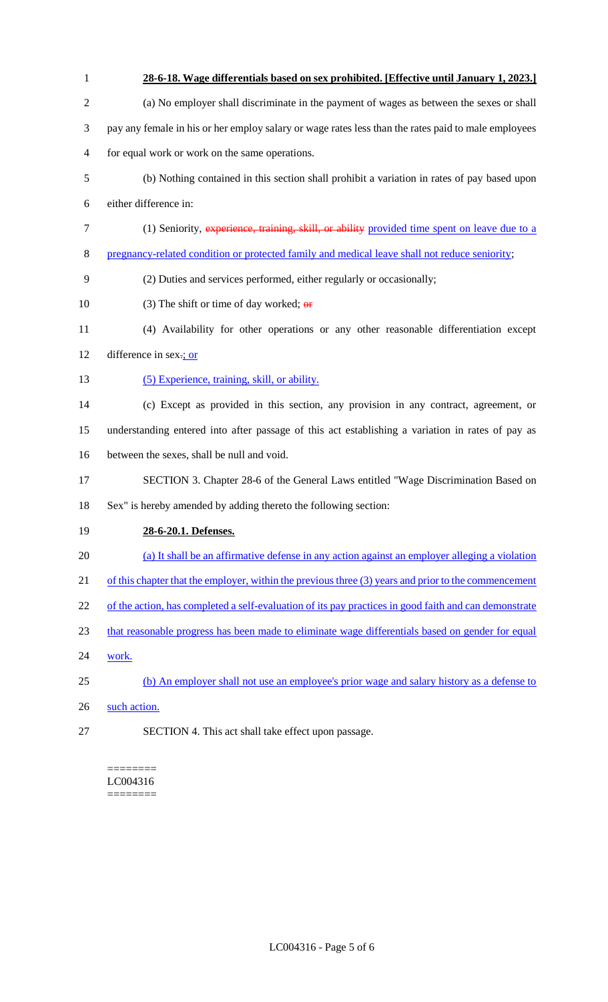**28-6-18. Wage differentials based on sex prohibited. [Effective until January 1, 2023.]** (a) No employer shall discriminate in the payment of wages as between the sexes or shall pay any female in his or her employ salary or wage rates less than the rates paid to male employees for equal work or work on the same operations. (b) Nothing contained in this section shall prohibit a variation in rates of pay based upon either difference in: 7 (1) Seniority, experience, training, skill, or ability provided time spent on leave due to a pregnancy-related condition or protected family and medical leave shall not reduce seniority; (2) Duties and services performed, either regularly or occasionally; 10 (3) The shift or time of day worked;  $\theta$  (4) Availability for other operations or any other reasonable differentiation except 12 difference in sex $\div$ ; or 13 (5) Experience, training, skill, or ability. (c) Except as provided in this section, any provision in any contract, agreement, or understanding entered into after passage of this act establishing a variation in rates of pay as between the sexes, shall be null and void. SECTION 3. Chapter 28-6 of the General Laws entitled "Wage Discrimination Based on Sex" is hereby amended by adding thereto the following section: **28-6-20.1. Defenses.**  (a) It shall be an affirmative defense in any action against an employer alleging a violation 21 of this chapter that the employer, within the previous three (3) years and prior to the commencement 22 of the action, has completed a self-evaluation of its pay practices in good faith and can demonstrate that reasonable progress has been made to eliminate wage differentials based on gender for equal work. (b) An employer shall not use an employee's prior wage and salary history as a defense to 26 such action. SECTION 4. This act shall take effect upon passage.

#### ======== LC004316 ========